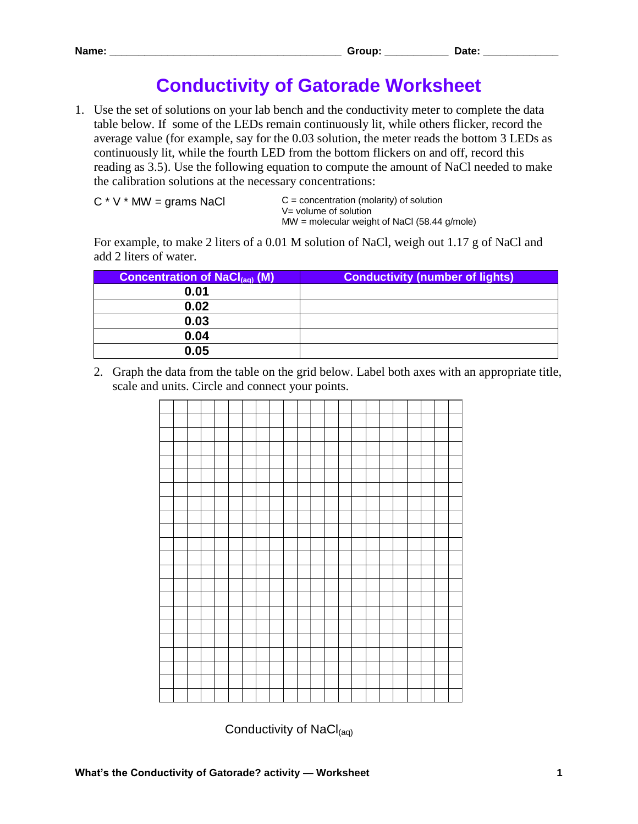## **Conductivity of Gatorade Worksheet**

1. Use the set of solutions on your lab bench and the conductivity meter to complete the data table below. If some of the LEDs remain continuously lit, while others flicker, record the average value (for example, say for the 0.03 solution, the meter reads the bottom 3 LEDs as continuously lit, while the fourth LED from the bottom flickers on and off, record this reading as 3.5). Use the following equation to compute the amount of NaCl needed to make the calibration solutions at the necessary concentrations:

```
C * V * MW = grams NaCl
```
 $C =$  concentration (molarity) of solution V= volume of solution MW = molecular weight of NaCl (58.44 g/mole)

For example, to make 2 liters of a 0.01 M solution of NaCl, weigh out 1.17 g of NaCl and add 2 liters of water.

| <b>Concentration of NaCl<sub>(ag)</sub></b> (M) | <b>Conductivity (number of lights)</b> |
|-------------------------------------------------|----------------------------------------|
| 0.01                                            |                                        |
| 0.02                                            |                                        |
| 0.03                                            |                                        |
| 0.04                                            |                                        |
| 0.05                                            |                                        |

2. Graph the data from the table on the grid below. Label both axes with an appropriate title, scale and units. Circle and connect your points.



Conductivity of  $NaCl<sub>(aa)</sub>$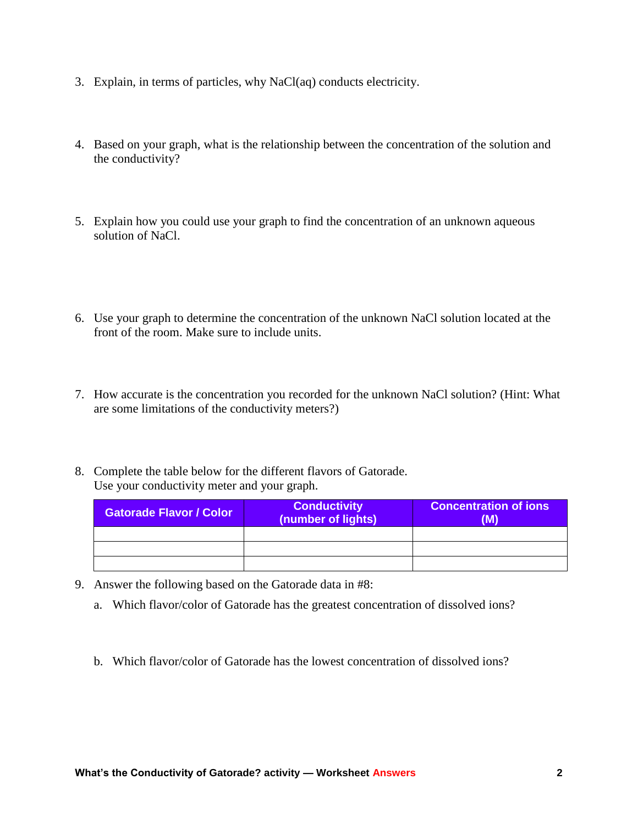- 3. Explain, in terms of particles, why NaCl(aq) conducts electricity.
- 4. Based on your graph, what is the relationship between the concentration of the solution and the conductivity?
- 5. Explain how you could use your graph to find the concentration of an unknown aqueous solution of NaCl.
- 6. Use your graph to determine the concentration of the unknown NaCl solution located at the front of the room. Make sure to include units.
- 7. How accurate is the concentration you recorded for the unknown NaCl solution? (Hint: What are some limitations of the conductivity meters?)
- 8. Complete the table below for the different flavors of Gatorade. Use your conductivity meter and your graph.

| <b>Gatorade Flavor / Color</b> | <b>Conductivity</b><br>(number of lights) | <b>Concentration of ions</b><br>(M) |
|--------------------------------|-------------------------------------------|-------------------------------------|
|                                |                                           |                                     |
|                                |                                           |                                     |
|                                |                                           |                                     |

- 9. Answer the following based on the Gatorade data in #8:
	- a. Which flavor/color of Gatorade has the greatest concentration of dissolved ions?
	- b. Which flavor/color of Gatorade has the lowest concentration of dissolved ions?